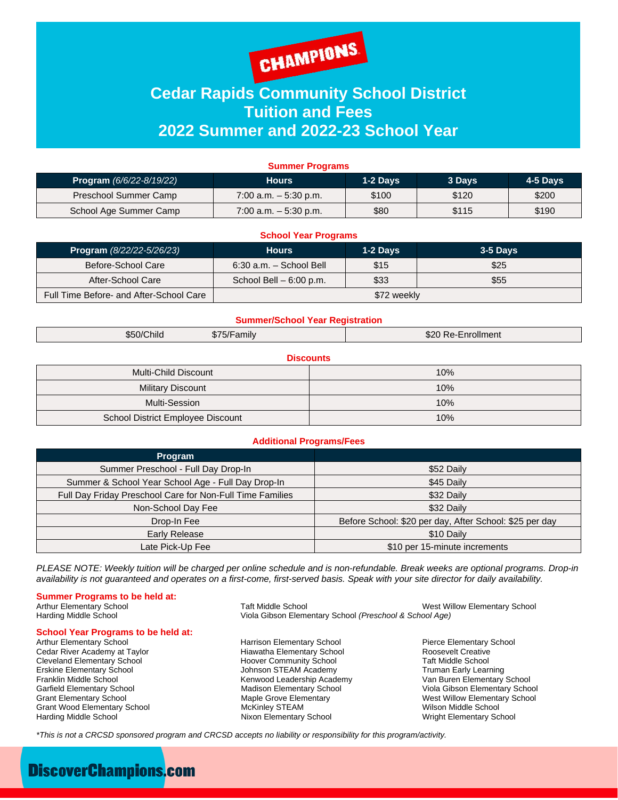

## **Cedar Rapids Community School District Tuition and Fees 2022 Summer and 2022-23 School Year**

| <b>Summer Programs</b>              |                          |          |        |          |  |
|-------------------------------------|--------------------------|----------|--------|----------|--|
| <b>Program</b> $(6/6/22 - 8/19/22)$ | <b>Hours</b>             | 1-2 Days | 3 Days | 4-5 Days |  |
| Preschool Summer Camp               | 7:00 a.m. $-5:30$ p.m.   | \$100    | \$120  | \$200    |  |
| School Age Summer Camp              | $7:00$ a.m. $-5:30$ p.m. | \$80     | \$115  | \$190    |  |

| <b>School Year Programs</b>             |                             |          |          |  |  |
|-----------------------------------------|-----------------------------|----------|----------|--|--|
| <b>Program</b> $(8/22/22 - 5/26/23)$    | <b>Hours</b>                | 1-2 Days | 3-5 Days |  |  |
| Before-School Care                      | $6:30$ a.m. $-$ School Bell | \$15     | \$25     |  |  |
| After-School Care                       | School Bell $-6:00$ p.m.    | \$33     | \$55     |  |  |
| Full Time Before- and After-School Care | \$72 weekly                 |          |          |  |  |

#### **Summer/School Year Registration**

|  | \$50/Child<br>_____ | $\sim$<br>amily<br>37 F<br>$\mathbf{L}$ | -S20<br>:nrollment<br>Re.<br>____ |
|--|---------------------|-----------------------------------------|-----------------------------------|
|--|---------------------|-----------------------------------------|-----------------------------------|

| <b>Discounts</b>                  |     |  |  |  |
|-----------------------------------|-----|--|--|--|
| Multi-Child Discount              | 10% |  |  |  |
| <b>Military Discount</b>          | 10% |  |  |  |
| Multi-Session                     | 10% |  |  |  |
| School District Employee Discount | 10% |  |  |  |

#### **Additional Programs/Fees**

| <b>Program</b>                                            |                                                         |
|-----------------------------------------------------------|---------------------------------------------------------|
| Summer Preschool - Full Day Drop-In                       | \$52 Daily                                              |
| Summer & School Year School Age - Full Day Drop-In        | \$45 Daily                                              |
| Full Day Friday Preschool Care for Non-Full Time Families | \$32 Daily                                              |
| Non-School Day Fee                                        | \$32 Daily                                              |
| Drop-In Fee                                               | Before School: \$20 per day, After School: \$25 per day |
| Early Release                                             | \$10 Daily                                              |
| Late Pick-Up Fee                                          | \$10 per 15-minute increments                           |

*PLEASE NOTE: Weekly tuition will be charged per online schedule and is non-refundable. Break weeks are optional programs. Drop-in availability is not guaranteed and operates on a first-come, first-served basis. Speak with your site director for daily availability.*

# **Summer Programs to be held at:** Arthur Elementary School

# **School Year Programs to be held at:** Arthur Elementary School

Cedar River Academy at Taylor **Cedar River Academy at Taylor** Hiawatha Elementary School **Cleveland Elementary School**<br>Cleveland Elementary School **Cleveland Elementary School** Taft Middle School Cleveland Elementary School **Finally School** Hoover Community School Taft Middle School Cleveland Early Learning<br>Finally School Truman Early Learning School Johnson STEAM Academy Truman Early Learning Franklin Middle School **Exercic Communist Communist Communist Communist Communist Communist Communist Communist**<br>Garfield Elementary School **Communist Communist Communist Communist Communist Communist Communist Communist C** Grant Wood Elementary School Harding Middle School **Nixon Elementary School** Nixon Elementary School Wright Elementary School

Arthur Elementary School **Taft Middle School** Taft Middle School West Willow Elementary School<br>Viola Gibson Elementary School (Preschool & School Age) Viola Gibson Elementary School (Preschool & School Age)

> Harrison Elementary School **Francisco Elementary School** Pierce Elementary School<br>
> Hiawatha Elementary School **Propertants** Roosevelt Creative Johnson STEAM Academy

Garfield Elementary School **Madison Elementary School** Viola Gibson Elementary School Crant Elementary School Grant Elementary School Grant Elementary School Grant Elementary School Grant Elementary School Crant Elementary Maple Grove Elementary **School Maple Grove Elementary School** West Willow Elementary School McKinley STEAM

*\*This is not a CRCSD sponsored program and CRCSD accepts no liability or responsibility for this program/activity.*

## **DiscoverChampions.com**